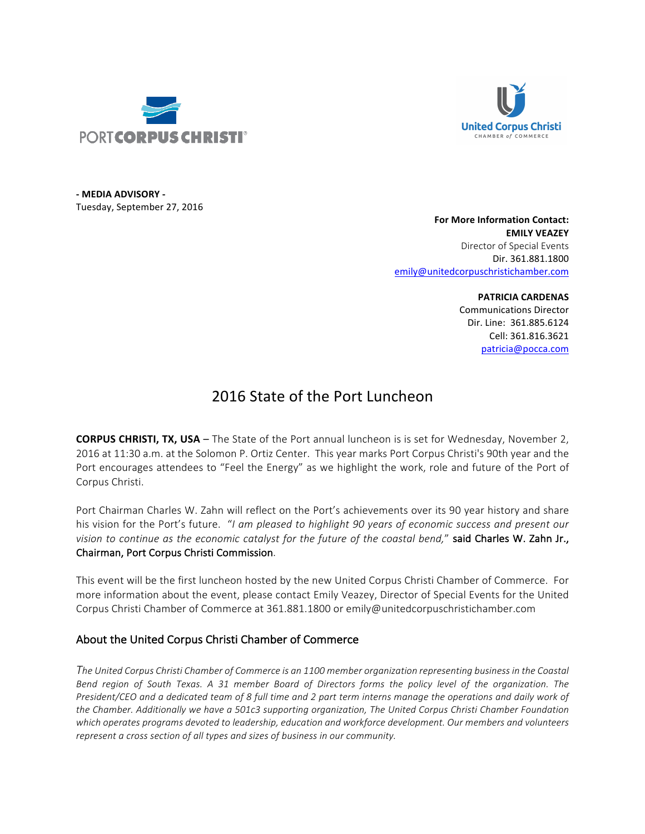



**- MEDIA ADVISORY -** Tuesday, September 27, 2016

> **For More Information Contact: EMILY VEAZEY** Director of Special Events Dir. 361.881.1800 emily@unitedcorpuschristichamber.com

> > **PATRICIA CARDENAS** Communications Director Dir. Line: 361.885.6124 Cell: 361.816.3621 patricia@pocca.com

## 2016 State of the Port Luncheon

**CORPUS CHRISTI, TX, USA** – The State of the Port annual luncheon is is set for Wednesday, November 2, 2016 at 11:30 a.m. at the Solomon P. Ortiz Center. This year marks Port Corpus Christi's 90th year and the Port encourages attendees to "Feel the Energy" as we highlight the work, role and future of the Port of Corpus Christi.

Port Chairman Charles W. Zahn will reflect on the Port's achievements over its 90 year history and share his vision for the Port's future. "*I am pleased to highlight 90 years of economic success and present our vision to continue as the economic catalyst for the future of the coastal bend,"* said Charles W. Zahn Jr., Chairman, Port Corpus Christi Commission.

This event will be the first luncheon hosted by the new United Corpus Christi Chamber of Commerce. For more information about the event, please contact Emily Veazey, Director of Special Events for the United Corpus Christi Chamber of Commerce at 361.881.1800 or emily@unitedcorpuschristichamber.com

## About the United Corpus Christi Chamber of Commerce

The United Corpus Christi Chamber of Commerce is an 1100 member organization representing business in the Coastal Bend region of South Texas. A 31 member Board of Directors forms the policy level of the organization. The *President/CEO* and a dedicated team of 8 full time and 2 part term interns manage the operations and daily work of the Chamber. Additionally we have a 501c3 supporting organization, The United Corpus Christi Chamber Foundation which operates programs devoted to leadership, education and workforce development. Our members and volunteers represent a cross section of all types and sizes of business in our community.